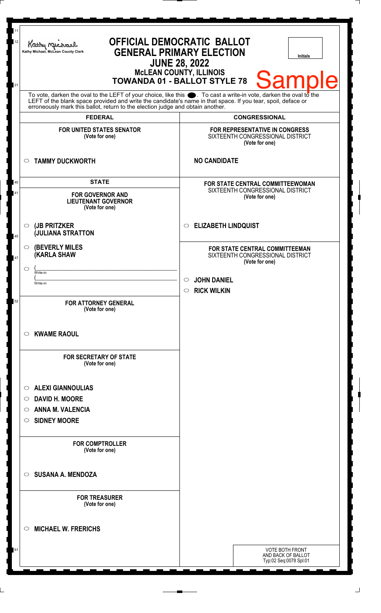| 11<br>12 | <b>OFFICIAL DEMOCRATIC BALLOT</b><br>Kathy Michael<br><b>GENERAL PRIMARY ELECTION</b><br>Kathy Michael, McLean County Clerk<br><b>Initials</b><br><b>JUNE 28, 2022</b><br><b>McLEAN COUNTY, ILLINOIS</b>                                                                                                               |                                                                                             |
|----------|------------------------------------------------------------------------------------------------------------------------------------------------------------------------------------------------------------------------------------------------------------------------------------------------------------------------|---------------------------------------------------------------------------------------------|
| 21       | <b>Sample</b><br><b>TOWANDA 01 - BALLOT STYLE 78</b>                                                                                                                                                                                                                                                                   |                                                                                             |
|          | To vote, darken the oval to the LEFT of your choice, like this $\bullet$ . To cast a write-in vote, darken the oval to the LEFT of the blank space provided and write the candidate's name in that space. If you tear, spoil, deface<br>erroneously mark this ballot, return to the election judge and obtain another. |                                                                                             |
|          | <b>FEDERAL</b>                                                                                                                                                                                                                                                                                                         | <b>CONGRESSIONAL</b>                                                                        |
|          | <b>FOR UNITED STATES SENATOR</b><br>(Vote for one)                                                                                                                                                                                                                                                                     | FOR REPRESENTATIVE IN CONGRESS<br>SIXTEENTH CONGRESSIONAL DISTRICT<br>(Vote for one)        |
|          | <b>TAMMY DUCKWORTH</b><br>$\circ$                                                                                                                                                                                                                                                                                      | <b>NO CANDIDATE</b>                                                                         |
| 40       | <b>STATE</b>                                                                                                                                                                                                                                                                                                           | FOR STATE CENTRAL COMMITTEEWOMAN                                                            |
| 41       | <b>FOR GOVERNOR AND</b><br><b>LIEUTENANT GOVERNOR</b><br>(Vote for one)                                                                                                                                                                                                                                                | SIXTEENTH CONGRESSIONAL DISTRICT<br>(Vote for one)                                          |
| 45       | (JB PRITZKER<br>$\circ$<br><b>JULIANA STRATTON</b>                                                                                                                                                                                                                                                                     | <b>ELIZABETH LINDQUIST</b><br>$\circ$                                                       |
| 47       | <b>(BEVERLY MILES)</b><br>$\circ$<br><b>KARLA SHAW</b>                                                                                                                                                                                                                                                                 | <b>FOR STATE CENTRAL COMMITTEEMAN</b><br>SIXTEENTH CONGRESSIONAL DISTRICT<br>(Vote for one) |
|          | $\circlearrowright$<br>Write-in                                                                                                                                                                                                                                                                                        |                                                                                             |
|          | Write-in                                                                                                                                                                                                                                                                                                               | <b>JOHN DANIEL</b><br>$\bigcirc$ .                                                          |
|          |                                                                                                                                                                                                                                                                                                                        | <b>RICK WILKIN</b><br>$\circ$                                                               |
| 52       | <b>FOR ATTORNEY GENERAL</b><br>(Vote for one)                                                                                                                                                                                                                                                                          |                                                                                             |
|          | <b>KWAME RAOUL</b><br>$\circ$                                                                                                                                                                                                                                                                                          |                                                                                             |
|          | <b>FOR SECRETARY OF STATE</b><br>(Vote for one)                                                                                                                                                                                                                                                                        |                                                                                             |
|          | <b>ALEXI GIANNOULIAS</b>                                                                                                                                                                                                                                                                                               |                                                                                             |
|          | $\circ$<br><b>DAVID H. MOORE</b><br>$\circ$                                                                                                                                                                                                                                                                            |                                                                                             |
|          | <b>ANNA M. VALENCIA</b><br>$\circ$                                                                                                                                                                                                                                                                                     |                                                                                             |
|          | <b>SIDNEY MOORE</b>                                                                                                                                                                                                                                                                                                    |                                                                                             |
|          | $\circ$                                                                                                                                                                                                                                                                                                                |                                                                                             |
|          | <b>FOR COMPTROLLER</b><br>(Vote for one)                                                                                                                                                                                                                                                                               |                                                                                             |
|          | <b>SUSANA A. MENDOZA</b><br>$\circ$                                                                                                                                                                                                                                                                                    |                                                                                             |
|          | <b>FOR TREASURER</b><br>(Vote for one)                                                                                                                                                                                                                                                                                 |                                                                                             |
|          | <b>MICHAEL W. FRERICHS</b><br>$\circ$                                                                                                                                                                                                                                                                                  |                                                                                             |
| 61       |                                                                                                                                                                                                                                                                                                                        | <b>VOTE BOTH FRONT</b><br>AND BACK OF BALLOT                                                |
|          |                                                                                                                                                                                                                                                                                                                        | Typ:02 Seq:0078 Spl:01                                                                      |
|          |                                                                                                                                                                                                                                                                                                                        |                                                                                             |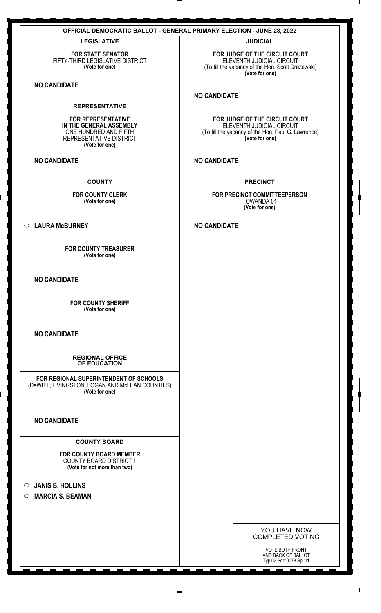| <b>OFFICIAL DEMOCRATIC BALLOT - GENERAL PRIMARY ELECTION - JUNE 28, 2022</b>                                               |                                                                                                                                     |  |
|----------------------------------------------------------------------------------------------------------------------------|-------------------------------------------------------------------------------------------------------------------------------------|--|
| <b>LEGISLATIVE</b>                                                                                                         | <b>JUDICIAL</b>                                                                                                                     |  |
| <b>FOR STATE SENATOR</b><br>FIFTY-THIRD LEGISLATIVE DISTRICT<br>(Vote for one)                                             | FOR JUDGE OF THE CIRCUIT COURT<br>ELEVENTH JUDICIAL CIRCUIT<br>(To fill the vacancy of the Hon. Scott Drazewski)<br>(Vote for one)  |  |
| <b>NO CANDIDATE</b>                                                                                                        | <b>NO CANDIDATE</b>                                                                                                                 |  |
| <b>REPRESENTATIVE</b>                                                                                                      |                                                                                                                                     |  |
| <b>FOR REPRESENTATIVE</b><br>IN THE GENERAL ASSEMBLY<br>ONE HUNDRED AND FIFTH<br>REPRESENTATIVE DISTRICT<br>(Vote for one) | FOR JUDGE OF THE CIRCUIT COURT<br>ELEVENTH JUDICIAL CIRCUIT<br>(To fill the vacancy of the Hon. Paul G. Lawrence)<br>(Vote for one) |  |
| <b>NO CANDIDATE</b>                                                                                                        | <b>NO CANDIDATE</b>                                                                                                                 |  |
| <b>COUNTY</b>                                                                                                              | <b>PRECINCT</b>                                                                                                                     |  |
| <b>FOR COUNTY CLERK</b><br>(Vote for one)                                                                                  | FOR PRECINCT COMMITTEEPERSON<br>TOWANDA 01<br>(Vote for one)                                                                        |  |
| ○ LAURA McBURNEY                                                                                                           | <b>NO CANDIDATE</b>                                                                                                                 |  |
| <b>FOR COUNTY TREASURER</b><br>(Vote for one)                                                                              |                                                                                                                                     |  |
| <b>NO CANDIDATE</b>                                                                                                        |                                                                                                                                     |  |
| <b>FOR COUNTY SHERIFF</b><br>(Vote for one)                                                                                |                                                                                                                                     |  |
| <b>NO CANDIDATE</b>                                                                                                        |                                                                                                                                     |  |
| <b>REGIONAL OFFICE</b><br>OF EDUCATION                                                                                     |                                                                                                                                     |  |
| FOR REGIONAL SUPERINTENDENT OF SCHOOLS<br>(DeWITT, LIVINGSTON, LOGAN AND McLEAN COUNTIES)<br>(Vote for one)                |                                                                                                                                     |  |
| <b>NO CANDIDATE</b>                                                                                                        |                                                                                                                                     |  |
| <b>COUNTY BOARD</b>                                                                                                        |                                                                                                                                     |  |
| <b>FOR COUNTY BOARD MEMBER</b><br><b>COUNTY BOARD DISTRICT 1</b><br>(Vote for not more than two)                           |                                                                                                                                     |  |
| <b>JANIS B. HOLLINS</b><br>$\circ$                                                                                         |                                                                                                                                     |  |
| <b>MARCIA S. BEAMAN</b><br>$\circ$                                                                                         |                                                                                                                                     |  |
|                                                                                                                            |                                                                                                                                     |  |
|                                                                                                                            |                                                                                                                                     |  |
|                                                                                                                            | YOU HAVE NOW<br><b>COMPLETED VOTING</b>                                                                                             |  |
|                                                                                                                            | <b>VOTE BOTH FRONT</b><br>AND BACK OF BALLOT<br>Typ:02 Seq:0078 Spl:01                                                              |  |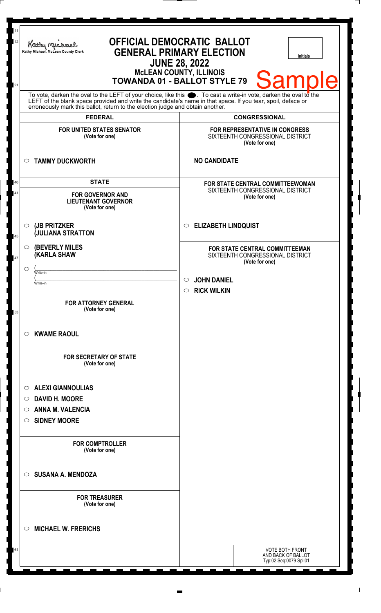| 11<br>12 | <b>OFFICIAL DEMOCRATIC BALLOT</b><br>Kathy Michael<br><b>GENERAL PRIMARY ELECTION</b><br>Kathy Michael, McLean County Clerk<br><b>Initials</b><br><b>JUNE 28, 2022</b><br><b>McLEAN COUNTY, ILLINOIS</b><br><b>TOWANDA 01 - BALLOT STYLE 79</b> |                                                                                                                                    |
|----------|-------------------------------------------------------------------------------------------------------------------------------------------------------------------------------------------------------------------------------------------------|------------------------------------------------------------------------------------------------------------------------------------|
| 21       | To vote, darken the oval to the LEFT of your choice, like this $\bullet$ . To cast a write-in vote, darken the oval to the LEFT of the blank space provided and write the candidate's name in that space. If you tear, spoil, deface            | <b>Sample</b>                                                                                                                      |
|          | erroneously mark this ballot, return to the election judge and obtain another.<br><b>FEDERAL</b>                                                                                                                                                | <b>CONGRESSIONAL</b>                                                                                                               |
|          | <b>FOR UNITED STATES SENATOR</b><br>(Vote for one)                                                                                                                                                                                              | <b>FOR REPRESENTATIVE IN CONGRESS</b><br>SIXTEENTH CONGRESSIONAL DISTRICT<br>(Vote for one)                                        |
|          | <b>TAMMY DUCKWORTH</b><br>$\circ$                                                                                                                                                                                                               | <b>NO CANDIDATE</b>                                                                                                                |
| 40<br>41 | <b>STATE</b><br><b>FOR GOVERNOR AND</b><br><b>LIEUTENANT GOVERNOR</b><br>(Vote for one)                                                                                                                                                         | FOR STATE CENTRAL COMMITTEEWOMAN<br>SIXTEENTH CONGRESSIONAL DISTRICT<br>(Vote for one)                                             |
| 45       | (JB PRITZKER<br>$\circ$<br><b>JULIANA STRATTON</b>                                                                                                                                                                                              | <b>ELIZABETH LINDQUIST</b><br>$\circ$                                                                                              |
| 47       | <b>(BEVERLY MILES)</b><br>$\circ$<br><b>KARLA SHAW</b><br>$\circ$<br>Write-in<br>Write-in                                                                                                                                                       | FOR STATE CENTRAL COMMITTEEMAN<br>SIXTEENTH CONGRESSIONAL DISTRICT<br>(Vote for one)<br>$\circ$ JOHN DANIEL<br>$\circ$ RICK WILKIN |
| 53       | <b>FOR ATTORNEY GENERAL</b><br>(Vote for one)                                                                                                                                                                                                   |                                                                                                                                    |
|          | <b>KWAME RAOUL</b><br>$\circ$                                                                                                                                                                                                                   |                                                                                                                                    |
|          | <b>FOR SECRETARY OF STATE</b><br>(Vote for one)                                                                                                                                                                                                 |                                                                                                                                    |
|          | <b>ALEXI GIANNOULIAS</b><br>$\circ$                                                                                                                                                                                                             |                                                                                                                                    |
|          | <b>DAVID H. MOORE</b><br>O                                                                                                                                                                                                                      |                                                                                                                                    |
|          | <b>ANNA M. VALENCIA</b><br>$\circ$                                                                                                                                                                                                              |                                                                                                                                    |
|          | <b>SIDNEY MOORE</b><br>O.                                                                                                                                                                                                                       |                                                                                                                                    |
|          | <b>FOR COMPTROLLER</b><br>(Vote for one)                                                                                                                                                                                                        |                                                                                                                                    |
|          | <b>SUSANA A. MENDOZA</b><br>$\circ$                                                                                                                                                                                                             |                                                                                                                                    |
|          | <b>FOR TREASURER</b><br>(Vote for one)                                                                                                                                                                                                          |                                                                                                                                    |
|          | <b>MICHAEL W. FRERICHS</b><br>$\circ$                                                                                                                                                                                                           |                                                                                                                                    |
| 61       |                                                                                                                                                                                                                                                 | <b>VOTE BOTH FRONT</b><br>AND BACK OF BALLOT<br>Typ:02 Seq:0079 Spl:01                                                             |

 $\Box$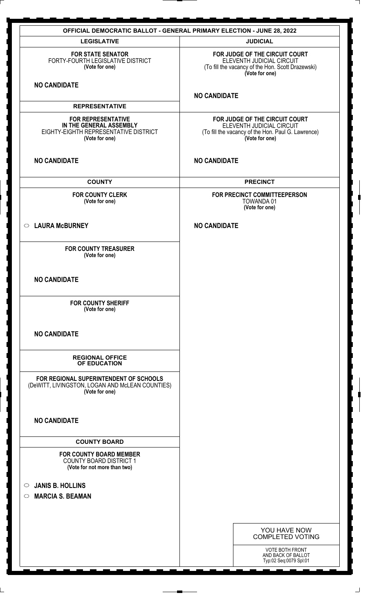|                                                                                                                 | <b>OFFICIAL DEMOCRATIC BALLOT - GENERAL PRIMARY ELECTION - JUNE 28, 2022</b>                                                        |
|-----------------------------------------------------------------------------------------------------------------|-------------------------------------------------------------------------------------------------------------------------------------|
| <b>LEGISLATIVE</b>                                                                                              | <b>JUDICIAL</b>                                                                                                                     |
| <b>FOR STATE SENATOR</b><br>FORTY-FOURTH LEGISLATIVE DISTRICT<br>(Vote for one)                                 | FOR JUDGE OF THE CIRCUIT COURT<br>ELEVENTH JUDICIAL CIRCUIT<br>(To fill the vacancy of the Hon. Scott Drazewski)<br>(Vote for one)  |
| <b>NO CANDIDATE</b>                                                                                             | <b>NO CANDIDATE</b>                                                                                                                 |
| <b>REPRESENTATIVE</b>                                                                                           |                                                                                                                                     |
| <b>FOR REPRESENTATIVE</b><br>IN THE GENERAL ASSEMBLY<br>EIGHTY-EIGHTH REPRESENTATIVE DISTRICT<br>(Vote for one) | FOR JUDGE OF THE CIRCUIT COURT<br>ELEVENTH JUDICIAL CIRCUIT<br>(To fill the vacancy of the Hon. Paul G. Lawrence)<br>(Vote for one) |
| <b>NO CANDIDATE</b>                                                                                             | <b>NO CANDIDATE</b>                                                                                                                 |
| <b>COUNTY</b>                                                                                                   | <b>PRECINCT</b>                                                                                                                     |
| <b>FOR COUNTY CLERK</b><br>(Vote for one)                                                                       | FOR PRECINCT COMMITTEEPERSON<br>TOWANDA 01<br>(Vote for one)                                                                        |
| ○ LAURA McBURNEY                                                                                                | <b>NO CANDIDATE</b>                                                                                                                 |
| <b>FOR COUNTY TREASURER</b><br>(Vote for one)                                                                   |                                                                                                                                     |
| <b>NO CANDIDATE</b>                                                                                             |                                                                                                                                     |
| <b>FOR COUNTY SHERIFF</b><br>(Vote for one)                                                                     |                                                                                                                                     |
| <b>NO CANDIDATE</b>                                                                                             |                                                                                                                                     |
| <b>REGIONAL OFFICE</b><br>OF EDUCATION                                                                          |                                                                                                                                     |
| FOR REGIONAL SUPERINTENDENT OF SCHOOLS<br>(DeWITT, LIVINGSTON, LOGAN AND McLEAN COUNTIES)<br>(Vote for one)     |                                                                                                                                     |
| <b>NO CANDIDATE</b>                                                                                             |                                                                                                                                     |
| <b>COUNTY BOARD</b>                                                                                             |                                                                                                                                     |
| <b>FOR COUNTY BOARD MEMBER</b><br><b>COUNTY BOARD DISTRICT 1</b><br>(Vote for not more than two)                |                                                                                                                                     |
| <b>JANIS B. HOLLINS</b><br>$\circ$                                                                              |                                                                                                                                     |
| <b>MARCIA S. BEAMAN</b><br>$\circ$                                                                              |                                                                                                                                     |
|                                                                                                                 |                                                                                                                                     |
|                                                                                                                 | YOU HAVE NOW<br><b>COMPLETED VOTING</b>                                                                                             |
|                                                                                                                 | <b>VOTE BOTH FRONT</b><br>AND BACK OF BALLOT<br>Typ:02 Seq:0079 Spl:01                                                              |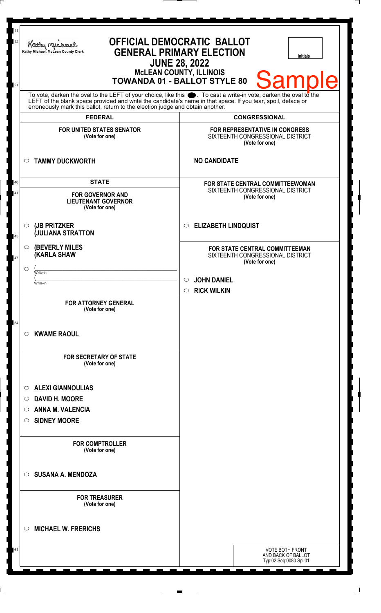| 11<br>12<br>21 | <b>OFFICIAL DEMOCRATIC BALLOT</b><br>Kathy Michael<br><b>GENERAL PRIMARY ELECTION</b><br>Kathy Michael, McLean County Clerk<br><b>Initials</b><br><b>JUNE 28, 2022</b><br><b>McLEAN COUNTY, ILLINOIS</b><br><b>Sample</b><br><b>TOWANDA 01 - BALLOT STYLE 80</b><br>To vote, darken the oval to the LEFT of your choice, like this $\bullet$ . To cast a write-in vote, darken the oval to the LEFT of the blank space provided and write the candidate's name in that space. If you tear, spoil, deface |                                                                                      |
|----------------|----------------------------------------------------------------------------------------------------------------------------------------------------------------------------------------------------------------------------------------------------------------------------------------------------------------------------------------------------------------------------------------------------------------------------------------------------------------------------------------------------------|--------------------------------------------------------------------------------------|
|                | erroneously mark this ballot, return to the election judge and obtain another.                                                                                                                                                                                                                                                                                                                                                                                                                           |                                                                                      |
|                | <b>FEDERAL</b>                                                                                                                                                                                                                                                                                                                                                                                                                                                                                           | <b>CONGRESSIONAL</b>                                                                 |
|                | <b>FOR UNITED STATES SENATOR</b><br>(Vote for one)                                                                                                                                                                                                                                                                                                                                                                                                                                                       | FOR REPRESENTATIVE IN CONGRESS<br>SIXTEENTH CONGRESSIONAL DISTRICT<br>(Vote for one) |
|                | <b>TAMMY DUCKWORTH</b><br>$\circ$                                                                                                                                                                                                                                                                                                                                                                                                                                                                        | <b>NO CANDIDATE</b>                                                                  |
| 40             | <b>STATE</b>                                                                                                                                                                                                                                                                                                                                                                                                                                                                                             | FOR STATE CENTRAL COMMITTEEWOMAN                                                     |
| 41             | <b>FOR GOVERNOR AND</b><br><b>LIEUTENANT GOVERNOR</b><br>(Vote for one)                                                                                                                                                                                                                                                                                                                                                                                                                                  | SIXTEENTH CONGRESSIONAL DISTRICT<br>(Vote for one)                                   |
| 45             | (JB PRITZKER<br>$\circ$<br><b>JULIANA STRATTON</b>                                                                                                                                                                                                                                                                                                                                                                                                                                                       | <b>ELIZABETH LINDQUIST</b><br>O                                                      |
| 47             | <b>(BEVERLY MILES)</b><br>$\circ$<br><b>KARLA SHAW</b>                                                                                                                                                                                                                                                                                                                                                                                                                                                   | FOR STATE CENTRAL COMMITTEEMAN<br>SIXTEENTH CONGRESSIONAL DISTRICT<br>(Vote for one) |
|                | $\circ$<br>Write-in                                                                                                                                                                                                                                                                                                                                                                                                                                                                                      |                                                                                      |
|                | Write-in                                                                                                                                                                                                                                                                                                                                                                                                                                                                                                 | <b>JOHN DANIEL</b><br>O<br><b>RICK WILKIN</b><br>$\circ$                             |
|                | <b>FOR ATTORNEY GENERAL</b><br>(Vote for one)                                                                                                                                                                                                                                                                                                                                                                                                                                                            |                                                                                      |
| 54             | <b>KWAME RAOUL</b><br>$\circ$                                                                                                                                                                                                                                                                                                                                                                                                                                                                            |                                                                                      |
|                | <b>FOR SECRETARY OF STATE</b><br>(Vote for one)                                                                                                                                                                                                                                                                                                                                                                                                                                                          |                                                                                      |
|                | <b>ALEXI GIANNOULIAS</b><br>O                                                                                                                                                                                                                                                                                                                                                                                                                                                                            |                                                                                      |
|                | <b>DAVID H. MOORE</b><br>$\circ$                                                                                                                                                                                                                                                                                                                                                                                                                                                                         |                                                                                      |
|                | <b>ANNA M. VALENCIA</b><br>O                                                                                                                                                                                                                                                                                                                                                                                                                                                                             |                                                                                      |
|                | <b>SIDNEY MOORE</b><br>O                                                                                                                                                                                                                                                                                                                                                                                                                                                                                 |                                                                                      |
|                | <b>FOR COMPTROLLER</b><br>(Vote for one)                                                                                                                                                                                                                                                                                                                                                                                                                                                                 |                                                                                      |
|                | <b>SUSANA A. MENDOZA</b><br>$\circ$                                                                                                                                                                                                                                                                                                                                                                                                                                                                      |                                                                                      |
|                | <b>FOR TREASURER</b><br>(Vote for one)                                                                                                                                                                                                                                                                                                                                                                                                                                                                   |                                                                                      |
|                | <b>MICHAEL W. FRERICHS</b><br>$\circ$                                                                                                                                                                                                                                                                                                                                                                                                                                                                    |                                                                                      |
| 61             |                                                                                                                                                                                                                                                                                                                                                                                                                                                                                                          | <b>VOTE BOTH FRONT</b><br>AND BACK OF BALLOT<br>Typ:02 Seq:0080 Spl:01               |
|                |                                                                                                                                                                                                                                                                                                                                                                                                                                                                                                          |                                                                                      |

 $\Box$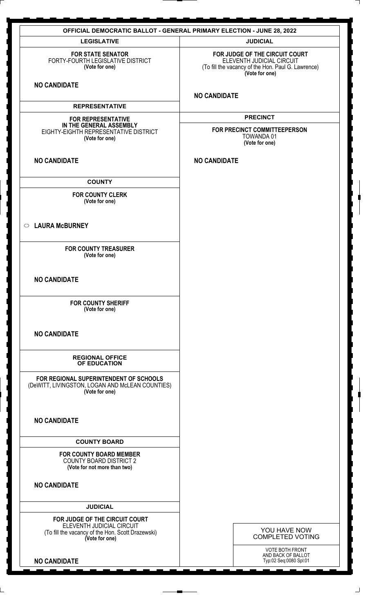| <b>OFFICIAL DEMOCRATIC BALLOT - GENERAL PRIMARY ELECTION - JUNE 28, 2022</b>                                                       |                                                                                                                                     |  |
|------------------------------------------------------------------------------------------------------------------------------------|-------------------------------------------------------------------------------------------------------------------------------------|--|
| <b>LEGISLATIVE</b>                                                                                                                 | <b>JUDICIAL</b>                                                                                                                     |  |
| <b>FOR STATE SENATOR</b><br>FORTY-FOURTH LEGISLATIVE DISTRICT<br>(Vote for one)                                                    | FOR JUDGE OF THE CIRCUIT COURT<br>ELEVENTH JUDICIAL CIRCUIT<br>(To fill the vacancy of the Hon. Paul G. Lawrence)<br>(Vote for one) |  |
| <b>NO CANDIDATE</b>                                                                                                                | <b>NO CANDIDATE</b>                                                                                                                 |  |
| <b>REPRESENTATIVE</b>                                                                                                              |                                                                                                                                     |  |
| <b>FOR REPRESENTATIVE</b><br>IN THE GENERAL ASSEMBLY<br>EIGHTY-EIGHTH REPRESENTATIVE DISTRICT<br>(Vote for one)                    | <b>PRECINCT</b><br>FOR PRECINCT COMMITTEEPERSON<br><b>TOWANDA01</b><br>(Vote for one)                                               |  |
| <b>NO CANDIDATE</b>                                                                                                                | <b>NO CANDIDATE</b>                                                                                                                 |  |
| <b>COUNTY</b>                                                                                                                      |                                                                                                                                     |  |
| <b>FOR COUNTY CLERK</b><br>(Vote for one)                                                                                          |                                                                                                                                     |  |
| ○ LAURA McBURNEY                                                                                                                   |                                                                                                                                     |  |
| <b>FOR COUNTY TREASURER</b><br>(Vote for one)                                                                                      |                                                                                                                                     |  |
| <b>NO CANDIDATE</b>                                                                                                                |                                                                                                                                     |  |
| <b>FOR COUNTY SHERIFF</b><br>(Vote for one)                                                                                        |                                                                                                                                     |  |
| <b>NO CANDIDATE</b>                                                                                                                |                                                                                                                                     |  |
| <b>REGIONAL OFFICE</b><br>OF EDUCATION                                                                                             |                                                                                                                                     |  |
| FOR REGIONAL SUPERINTENDENT OF SCHOOLS<br>(DeWITT, LIVINGSTON, LOGAN AND McLEAN COUNTIES)<br>(Vote for one)                        |                                                                                                                                     |  |
| <b>NO CANDIDATE</b>                                                                                                                |                                                                                                                                     |  |
| <b>COUNTY BOARD</b>                                                                                                                |                                                                                                                                     |  |
| <b>FOR COUNTY BOARD MEMBER</b><br><b>COUNTY BOARD DISTRICT 2</b><br>(Vote for not more than two)                                   |                                                                                                                                     |  |
| <b>NO CANDIDATE</b>                                                                                                                |                                                                                                                                     |  |
| <b>JUDICIAL</b>                                                                                                                    |                                                                                                                                     |  |
| FOR JUDGE OF THE CIRCUIT COURT<br>ELEVENTH JUDICIAL CIRCUIT<br>(To fill the vacancy of the Hon. Scott Drazewski)<br>(Vote for one) | YOU HAVE NOW<br><b>COMPLETED VOTING</b>                                                                                             |  |
| <b>NO CANDIDATE</b>                                                                                                                | <b>VOTE BOTH FRONT</b><br>AND BACK OF BALLOT<br>Typ:02 Seq:0080 Spl:01                                                              |  |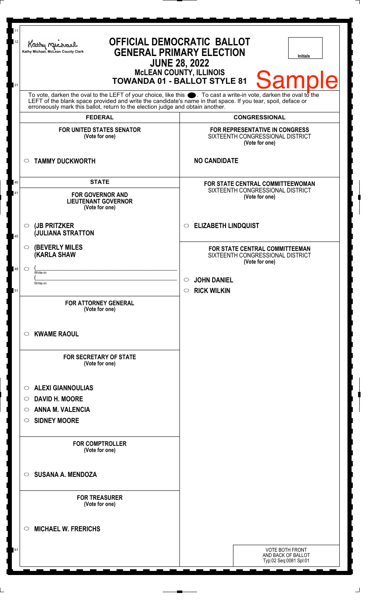| 12                                                                                                                                                                                                                                                                                                                           | Kathy Michael<br>Kathy Michael, McLean County Clerk                                     | <b>OFFICIAL DEMOCRATIC BALLOT</b><br><b>GENERAL PRIMARY ELECTION</b><br><b>Initials</b><br><b>JUNE 28, 2022</b><br><b>McLEAN COUNTY, ILLINOIS</b><br><b>Sample</b><br><b>TOWANDA 01 - BALLOT STYLE 81</b> |
|------------------------------------------------------------------------------------------------------------------------------------------------------------------------------------------------------------------------------------------------------------------------------------------------------------------------------|-----------------------------------------------------------------------------------------|-----------------------------------------------------------------------------------------------------------------------------------------------------------------------------------------------------------|
| 21<br>To vote, darken the oval to the LEFT of your choice, like this $\bullet$ . To cast a write-in vote, darken the oval to the LEFT of the blank space provided and write the candidate's name in that space. If you tear, spoil, deface<br>erroneously mark this ballot, return to the election judge and obtain another. |                                                                                         |                                                                                                                                                                                                           |
|                                                                                                                                                                                                                                                                                                                              | <b>FEDERAL</b>                                                                          | <b>CONGRESSIONAL</b>                                                                                                                                                                                      |
|                                                                                                                                                                                                                                                                                                                              | <b>FOR UNITED STATES SENATOR</b><br>(Vote for one)                                      | FOR REPRESENTATIVE IN CONGRESS<br>SIXTEENTH CONGRESSIONAL DISTRICT<br>(Vote for one)                                                                                                                      |
|                                                                                                                                                                                                                                                                                                                              | <b>TAMMY DUCKWORTH</b><br>$\circ$                                                       | <b>NO CANDIDATE</b>                                                                                                                                                                                       |
| 40<br>41                                                                                                                                                                                                                                                                                                                     | <b>STATE</b><br><b>FOR GOVERNOR AND</b><br><b>LIEUTENANT GOVERNOR</b><br>(Vote for one) | <b>FOR STATE CENTRAL COMMITTEEWOMAN</b><br>SIXTEENTH CONGRESSIONAL DISTRICT<br>(Vote for one)                                                                                                             |
| 45                                                                                                                                                                                                                                                                                                                           | (JB PRITZKER<br>$\circ$<br><b>JULIANA STRATTON</b>                                      | <b>ELIZABETH LINDQUIST</b><br>$\circ$                                                                                                                                                                     |
| 48                                                                                                                                                                                                                                                                                                                           | <b>(BEVERLY MILES)</b><br>$\circ$<br>(KARLA SHAW<br>$\circ$<br>Write-in<br>Write-in     | FOR STATE CENTRAL COMMITTEEMAN<br>SIXTEENTH CONGRESSIONAL DISTRICT<br>(Vote for one)<br><b>JOHN DANIEL</b><br>$\circ$                                                                                     |
| 51                                                                                                                                                                                                                                                                                                                           | <b>FOR ATTORNEY GENERAL</b><br>(Vote for one)                                           | <b>RICK WILKIN</b><br>$\circ$                                                                                                                                                                             |
|                                                                                                                                                                                                                                                                                                                              | <b>KWAME RAOUL</b><br>$\circ$                                                           |                                                                                                                                                                                                           |
|                                                                                                                                                                                                                                                                                                                              | <b>FOR SECRETARY OF STATE</b><br>(Vote for one)                                         |                                                                                                                                                                                                           |
|                                                                                                                                                                                                                                                                                                                              | <b>ALEXI GIANNOULIAS</b><br>$\circ$                                                     |                                                                                                                                                                                                           |
|                                                                                                                                                                                                                                                                                                                              | <b>DAVID H. MOORE</b><br>$\circ$                                                        |                                                                                                                                                                                                           |
|                                                                                                                                                                                                                                                                                                                              | <b>ANNA M. VALENCIA</b><br>$\circ$                                                      |                                                                                                                                                                                                           |
|                                                                                                                                                                                                                                                                                                                              | <b>SIDNEY MOORE</b><br>$\circ$                                                          |                                                                                                                                                                                                           |
|                                                                                                                                                                                                                                                                                                                              | <b>FOR COMPTROLLER</b><br>(Vote for one)                                                |                                                                                                                                                                                                           |
|                                                                                                                                                                                                                                                                                                                              | <b>SUSANA A. MENDOZA</b><br>$\circ$                                                     |                                                                                                                                                                                                           |
|                                                                                                                                                                                                                                                                                                                              | <b>FOR TREASURER</b><br>(Vote for one)                                                  |                                                                                                                                                                                                           |
|                                                                                                                                                                                                                                                                                                                              | <b>MICHAEL W. FRERICHS</b><br>$\circ$                                                   |                                                                                                                                                                                                           |
| 61                                                                                                                                                                                                                                                                                                                           |                                                                                         | <b>VOTE BOTH FRONT</b><br>AND BACK OF BALLOT<br>Typ:02 Seq:0081 Spl:01                                                                                                                                    |

 $\Box$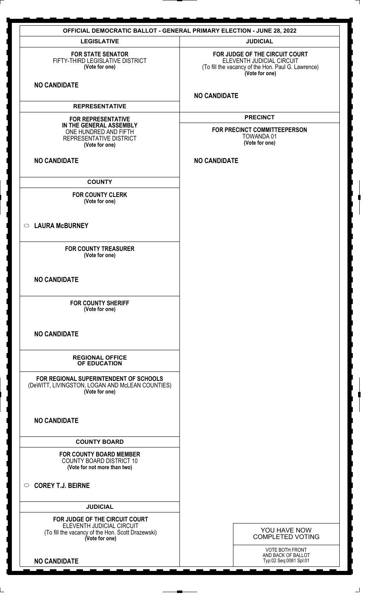| <b>OFFICIAL DEMOCRATIC BALLOT - GENERAL PRIMARY ELECTION - JUNE 28, 2022</b>                                                       |                                                                                                                                     |  |
|------------------------------------------------------------------------------------------------------------------------------------|-------------------------------------------------------------------------------------------------------------------------------------|--|
| <b>LEGISLATIVE</b>                                                                                                                 | <b>JUDICIAL</b>                                                                                                                     |  |
| <b>FOR STATE SENATOR</b><br>FIFTY-THIRD LEGISLATIVE DISTRICT<br>(Vote for one)                                                     | FOR JUDGE OF THE CIRCUIT COURT<br>ELEVENTH JUDICIAL CIRCUIT<br>(To fill the vacancy of the Hon. Paul G. Lawrence)<br>(Vote for one) |  |
| <b>NO CANDIDATE</b>                                                                                                                | <b>NO CANDIDATE</b>                                                                                                                 |  |
| <b>REPRESENTATIVE</b>                                                                                                              |                                                                                                                                     |  |
| <b>FOR REPRESENTATIVE</b><br>IN THE GENERAL ASSEMBLY<br>ONE HUNDRED AND FIFTH<br>REPRESENTATIVE DISTRICT<br>(Vote for one)         | <b>PRECINCT</b><br>FOR PRECINCT COMMITTEEPERSON<br><b>TOWANDA01</b><br>(Vote for one)                                               |  |
| <b>NO CANDIDATE</b>                                                                                                                | <b>NO CANDIDATE</b>                                                                                                                 |  |
| <b>COUNTY</b>                                                                                                                      |                                                                                                                                     |  |
| <b>FOR COUNTY CLERK</b><br>(Vote for one)                                                                                          |                                                                                                                                     |  |
| ○ LAURA McBURNEY                                                                                                                   |                                                                                                                                     |  |
| <b>FOR COUNTY TREASURER</b><br>(Vote for one)                                                                                      |                                                                                                                                     |  |
| <b>NO CANDIDATE</b>                                                                                                                |                                                                                                                                     |  |
| <b>FOR COUNTY SHERIFF</b><br>(Vote for one)                                                                                        |                                                                                                                                     |  |
| <b>NO CANDIDATE</b>                                                                                                                |                                                                                                                                     |  |
| <b>REGIONAL OFFICE</b><br>OF EDUCATION                                                                                             |                                                                                                                                     |  |
| FOR REGIONAL SUPERINTENDENT OF SCHOOLS<br>(DeWITT, LIVINGSTON, LOGAN AND McLEAN COUNTIES)<br>(Vote for one)                        |                                                                                                                                     |  |
| <b>NO CANDIDATE</b>                                                                                                                |                                                                                                                                     |  |
| <b>COUNTY BOARD</b>                                                                                                                |                                                                                                                                     |  |
| <b>FOR COUNTY BOARD MEMBER</b><br><b>COUNTY BOARD DISTRICT 10</b><br>(Vote for not more than two)                                  |                                                                                                                                     |  |
| $\circ$ COREY T.J. BEIRNE                                                                                                          |                                                                                                                                     |  |
| <b>JUDICIAL</b>                                                                                                                    |                                                                                                                                     |  |
| FOR JUDGE OF THE CIRCUIT COURT<br>ELEVENTH JUDICIAL CIRCUIT<br>(To fill the vacancy of the Hon. Scott Drazewski)<br>(Vote for one) | YOU HAVE NOW<br><b>COMPLETED VOTING</b>                                                                                             |  |
| <b>NO CANDIDATE</b>                                                                                                                | <b>VOTE BOTH FRONT</b><br>AND BACK OF BALLOT<br>Typ:02 Seq:0081 Spl:01                                                              |  |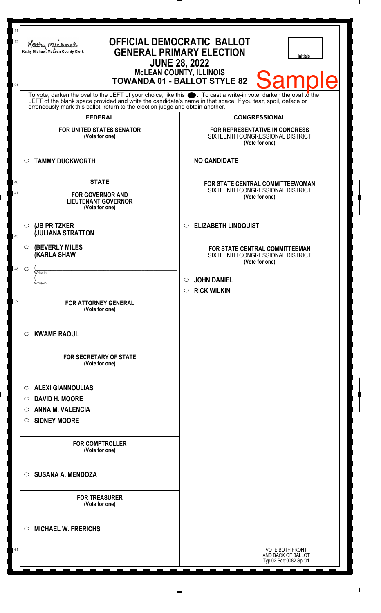| 11<br>12 | Kathy Michael<br>Kathy Michael, McLean County Clerk                                                                                                                                                                                                                                                                    | <b>OFFICIAL DEMOCRATIC BALLOT</b><br><b>GENERAL PRIMARY ELECTION</b><br><b>Initials</b><br><b>JUNE 28, 2022</b><br><b>McLEAN COUNTY, ILLINOIS</b><br><b>Sample</b><br><b>TOWANDA 01 - BALLOT STYLE 82</b> |
|----------|------------------------------------------------------------------------------------------------------------------------------------------------------------------------------------------------------------------------------------------------------------------------------------------------------------------------|-----------------------------------------------------------------------------------------------------------------------------------------------------------------------------------------------------------|
| 21       | To vote, darken the oval to the LEFT of your choice, like this $\bullet$ . To cast a write-in vote, darken the oval to the LEFT of the blank space provided and write the candidate's name in that space. If you tear, spoil, deface<br>erroneously mark this ballot, return to the election judge and obtain another. |                                                                                                                                                                                                           |
|          | <b>FEDERAL</b>                                                                                                                                                                                                                                                                                                         | <b>CONGRESSIONAL</b>                                                                                                                                                                                      |
|          | <b>FOR UNITED STATES SENATOR</b><br>(Vote for one)                                                                                                                                                                                                                                                                     | FOR REPRESENTATIVE IN CONGRESS<br>SIXTEENTH CONGRESSIONAL DISTRICT<br>(Vote for one)                                                                                                                      |
|          | <b>TAMMY DUCKWORTH</b><br>$\circ$                                                                                                                                                                                                                                                                                      | <b>NO CANDIDATE</b>                                                                                                                                                                                       |
| 40<br>41 | <b>STATE</b><br><b>FOR GOVERNOR AND</b><br><b>LIEUTENANT GOVERNOR</b><br>(Vote for one)                                                                                                                                                                                                                                | FOR STATE CENTRAL COMMITTEEWOMAN<br>SIXTEENTH CONGRESSIONAL DISTRICT<br>(Vote for one)                                                                                                                    |
| 45       | $\circ$ (JB PRITZKER<br><b>JULIANA STRATTON</b>                                                                                                                                                                                                                                                                        | <b>ELIZABETH LINDQUIST</b><br>◯                                                                                                                                                                           |
|          | <b>(BEVERLY MILES)</b><br>$\circ$<br><b>(KARLA SHAW</b>                                                                                                                                                                                                                                                                | FOR STATE CENTRAL COMMITTEEMAN<br>SIXTEENTH CONGRESSIONAL DISTRICT<br>(Vote for one)                                                                                                                      |
| 48       | $\circ$<br>Write-in<br>Write-in                                                                                                                                                                                                                                                                                        | <b>JOHN DANIEL</b><br>O<br><b>RICK WILKIN</b><br>$\bigcirc$                                                                                                                                               |
| 52       | <b>FOR ATTORNEY GENERAL</b><br>(Vote for one)                                                                                                                                                                                                                                                                          |                                                                                                                                                                                                           |
|          | <b>KWAME RAOUL</b><br>$\circ$                                                                                                                                                                                                                                                                                          |                                                                                                                                                                                                           |
|          | <b>FOR SECRETARY OF STATE</b><br>(Vote for one)                                                                                                                                                                                                                                                                        |                                                                                                                                                                                                           |
|          | <b>ALEXI GIANNOULIAS</b><br>$\circ$                                                                                                                                                                                                                                                                                    |                                                                                                                                                                                                           |
|          | <b>DAVID H. MOORE</b><br>$\circ$                                                                                                                                                                                                                                                                                       |                                                                                                                                                                                                           |
|          | <b>ANNA M. VALENCIA</b><br>$\circ$<br><b>SIDNEY MOORE</b><br>$\circ$                                                                                                                                                                                                                                                   |                                                                                                                                                                                                           |
|          | <b>FOR COMPTROLLER</b><br>(Vote for one)                                                                                                                                                                                                                                                                               |                                                                                                                                                                                                           |
|          | <b>SUSANA A. MENDOZA</b><br>$\circ$                                                                                                                                                                                                                                                                                    |                                                                                                                                                                                                           |
|          | <b>FOR TREASURER</b><br>(Vote for one)                                                                                                                                                                                                                                                                                 |                                                                                                                                                                                                           |
|          | <b>MICHAEL W. FRERICHS</b><br>$\circlearrowright$                                                                                                                                                                                                                                                                      |                                                                                                                                                                                                           |
| 61       |                                                                                                                                                                                                                                                                                                                        | VOTE BOTH FRONT<br>AND BACK OF BALLOT<br>Typ:02 Seq:0082 Spl:01                                                                                                                                           |